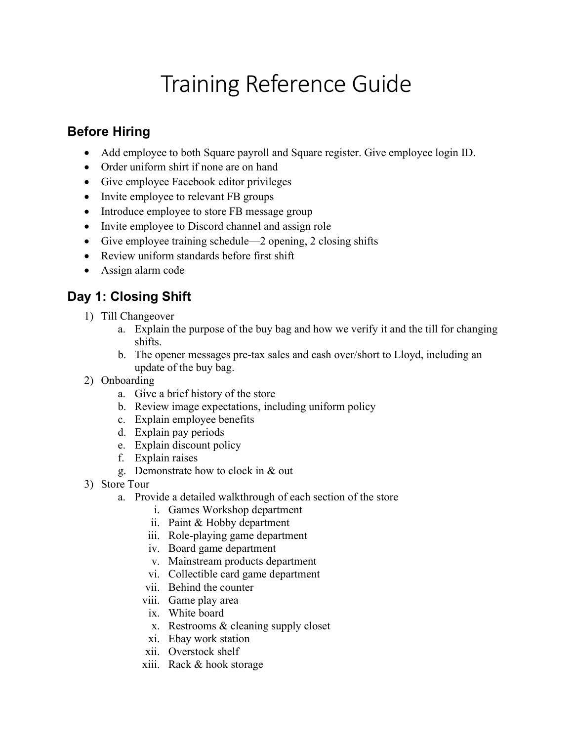# Training Reference Guide

#### Before Hiring

- Add employee to both Square payroll and Square register. Give employee login ID.
- Order uniform shirt if none are on hand
- Give employee Facebook editor privileges
- Invite employee to relevant FB groups
- Introduce employee to store FB message group
- Invite employee to Discord channel and assign role
- Give employee training schedule—2 opening, 2 closing shifts
- Review uniform standards before first shift
- Assign alarm code

## Day 1: Closing Shift

- 1) Till Changeover
	- a. Explain the purpose of the buy bag and how we verify it and the till for changing shifts.
	- b. The opener messages pre-tax sales and cash over/short to Lloyd, including an update of the buy bag.
- 2) Onboarding
	- a. Give a brief history of the store
	- b. Review image expectations, including uniform policy
	- c. Explain employee benefits
	- d. Explain pay periods
	- e. Explain discount policy
	- f. Explain raises
	- g. Demonstrate how to clock in & out
- 3) Store Tour
	- a. Provide a detailed walkthrough of each section of the store
		- i. Games Workshop department
		- ii. Paint & Hobby department
		- iii. Role-playing game department
		- iv. Board game department
		- v. Mainstream products department
		- vi. Collectible card game department
		- vii. Behind the counter
		- viii. Game play area
		- ix. White board
		- x. Restrooms & cleaning supply closet
		- xi. Ebay work station
		- xii. Overstock shelf
		- xiii. Rack & hook storage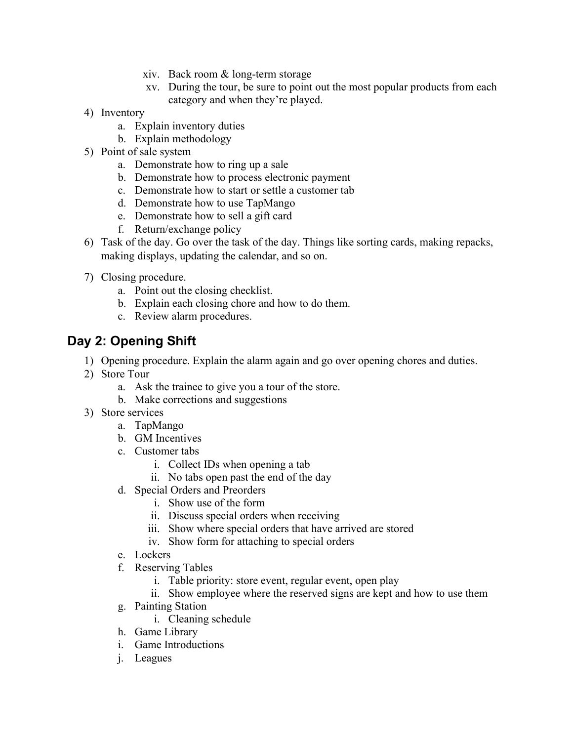- xiv. Back room & long-term storage
- xv. During the tour, be sure to point out the most popular products from each category and when they're played.
- 4) Inventory
	- a. Explain inventory duties
	- b. Explain methodology
- 5) Point of sale system
	- a. Demonstrate how to ring up a sale
	- b. Demonstrate how to process electronic payment
	- c. Demonstrate how to start or settle a customer tab
	- d. Demonstrate how to use TapMango
	- e. Demonstrate how to sell a gift card
	- f. Return/exchange policy
- 6) Task of the day. Go over the task of the day. Things like sorting cards, making repacks, making displays, updating the calendar, and so on.
- 7) Closing procedure.
	- a. Point out the closing checklist.
	- b. Explain each closing chore and how to do them.
	- c. Review alarm procedures.

### Day 2: Opening Shift

- 1) Opening procedure. Explain the alarm again and go over opening chores and duties.
- 2) Store Tour
	- a. Ask the trainee to give you a tour of the store.
	- b. Make corrections and suggestions
- 3) Store services
	- a. TapMango
	- b. GM Incentives
	- c. Customer tabs
		- i. Collect IDs when opening a tab
		- ii. No tabs open past the end of the day
	- d. Special Orders and Preorders
		- i. Show use of the form
		- ii. Discuss special orders when receiving
		- iii. Show where special orders that have arrived are stored
		- iv. Show form for attaching to special orders
	- e. Lockers
	- f. Reserving Tables
		- i. Table priority: store event, regular event, open play
		- ii. Show employee where the reserved signs are kept and how to use them
	- g. Painting Station
		- i. Cleaning schedule
	- h. Game Library
	- i. Game Introductions
	- j. Leagues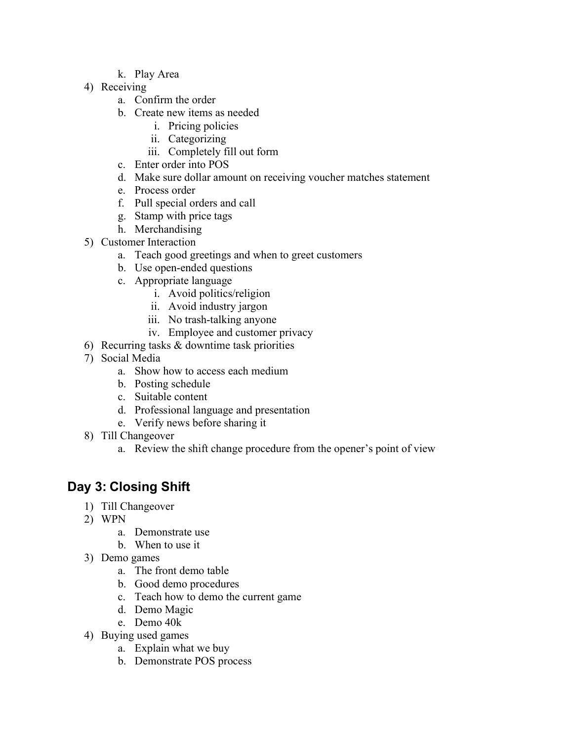- k. Play Area
- 4) Receiving
	- a. Confirm the order
	- b. Create new items as needed
		- i. Pricing policies
		- ii. Categorizing
		- iii. Completely fill out form
	- c. Enter order into POS
	- d. Make sure dollar amount on receiving voucher matches statement
	- e. Process order
	- f. Pull special orders and call
	- g. Stamp with price tags
	- h. Merchandising
- 5) Customer Interaction
	- a. Teach good greetings and when to greet customers
	- b. Use open-ended questions
	- c. Appropriate language
		- i. Avoid politics/religion
		- ii. Avoid industry jargon
		- iii. No trash-talking anyone
		- iv. Employee and customer privacy
- 6) Recurring tasks & downtime task priorities
- 7) Social Media
	- a. Show how to access each medium
	- b. Posting schedule
	- c. Suitable content
	- d. Professional language and presentation
	- e. Verify news before sharing it
- 8) Till Changeover
	- a. Review the shift change procedure from the opener's point of view

#### Day 3: Closing Shift

- 1) Till Changeover
- 2) WPN
	- a. Demonstrate use
	- b. When to use it
- 3) Demo games
	- a. The front demo table
	- b. Good demo procedures
	- c. Teach how to demo the current game
	- d. Demo Magic
	- e. Demo 40k
- 4) Buying used games
	- a. Explain what we buy
	- b. Demonstrate POS process